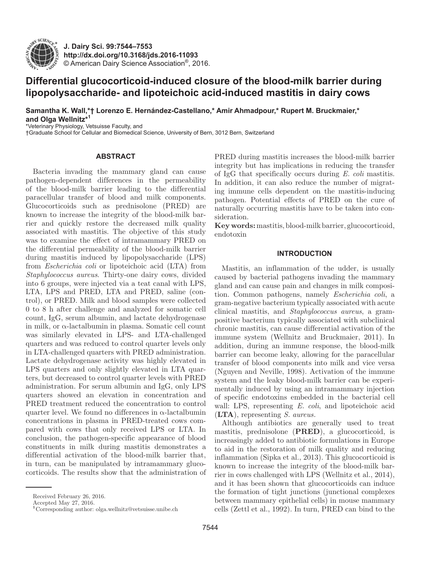

**J. Dairy Sci. 99:7544–7553 http://dx.doi.org/10.3168/jds.2016-11093** © American Dairy Science Association®, 2016.

# **Differential glucocorticoid-induced closure of the blood-milk barrier during lipopolysaccharide- and lipoteichoic acid-induced mastitis in dairy cows**

**Samantha K. Wall,\*† Lorenzo E. Hernández-Castellano,\* Amir Ahmadpour,\* Rupert M. Bruckmaier,\* and Olga Wellnitz\*1**

\*Veterinary Physiology, Vetsuisse Faculty, and †Graduate School for Cellular and Biomedical Science, University of Bern, 3012 Bern, Switzerland

# **ABSTRACT**

Bacteria invading the mammary gland can cause pathogen-dependent differences in the permeability of the blood-milk barrier leading to the differential paracellular transfer of blood and milk components. Glucocorticoids such as prednisolone (PRED) are known to increase the integrity of the blood-milk barrier and quickly restore the decreased milk quality associated with mastitis. The objective of this study was to examine the effect of intramammary PRED on the differential permeability of the blood-milk barrier during mastitis induced by lipopolysaccharide (LPS) from *Escherichia coli* or lipoteichoic acid (LTA) from *Staphylococcus aureus*. Thirty-one dairy cows, divided into 6 groups, were injected via a teat canal with LPS, LTA, LPS and PRED, LTA and PRED, saline (control), or PRED. Milk and blood samples were collected 0 to 8 h after challenge and analyzed for somatic cell count, IgG, serum albumin, and lactate dehydrogenase in milk, or  $\alpha$ -lactalbumin in plasma. Somatic cell count was similarly elevated in LPS- and LTA-challenged quarters and was reduced to control quarter levels only in LTA-challenged quarters with PRED administration. Lactate dehydrogenase activity was highly elevated in LPS quarters and only slightly elevated in LTA quarters, but decreased to control quarter levels with PRED administration. For serum albumin and IgG, only LPS quarters showed an elevation in concentration and PRED treatment reduced the concentration to control quarter level. We found no differences in  $\alpha$ -lactalbumin concentrations in plasma in PRED-treated cows compared with cows that only received LPS or LTA. In conclusion, the pathogen-specific appearance of blood constituents in milk during mastitis demonstrates a differential activation of the blood-milk barrier that, in turn, can be manipulated by intramammary glucocorticoids. The results show that the administration of PRED during mastitis increases the blood-milk barrier integrity but has implications in reducing the transfer of IgG that specifically occurs during *E. coli* mastitis. In addition, it can also reduce the number of migrating immune cells dependent on the mastitis-inducing pathogen. Potential effects of PRED on the cure of naturally occurring mastitis have to be taken into consideration.

**Key words:** mastitis, blood-milk barrier, glucocorticoid, endotoxin

# **INTRODUCTION**

Mastitis, an inflammation of the udder, is usually caused by bacterial pathogens invading the mammary gland and can cause pain and changes in milk composition. Common pathogens, namely *Escherichia coli*, a gram-negative bacterium typically associated with acute clinical mastitis, and *Staphylococcus aureus*, a grampositive bacterium typically associated with subclinical chronic mastitis, can cause differential activation of the immune system (Wellnitz and Bruckmaier, 2011). In addition, during an immune response, the blood-milk barrier can become leaky, allowing for the paracellular transfer of blood components into milk and vice versa (Nguyen and Neville, 1998). Activation of the immune system and the leaky blood-milk barrier can be experimentally induced by using an intramammary injection of specific endotoxins embedded in the bacterial cell wall: LPS, representing *E. coli*, and lipoteichoic acid (**LTA**), representing *S. aureus.*

Although antibiotics are generally used to treat mastitis, prednisolone (**PRED**), a glucocorticoid, is increasingly added to antibiotic formulations in Europe to aid in the restoration of milk quality and reducing inflammation (Sipka et al., 2013). This glucocorticoid is known to increase the integrity of the blood-milk barrier in cows challenged with LPS (Wellnitz et al., 2014), and it has been shown that glucocorticoids can induce the formation of tight junctions (junctional complexes between mammary epithelial cells) in mouse mammary cells (Zettl et al., 1992). In turn, PRED can bind to the

Received February 26, 2016.

Accepted May 27, 2016.

**<sup>1</sup>**Corresponding author: olga.wellnitz@vetsuisse.unibe.ch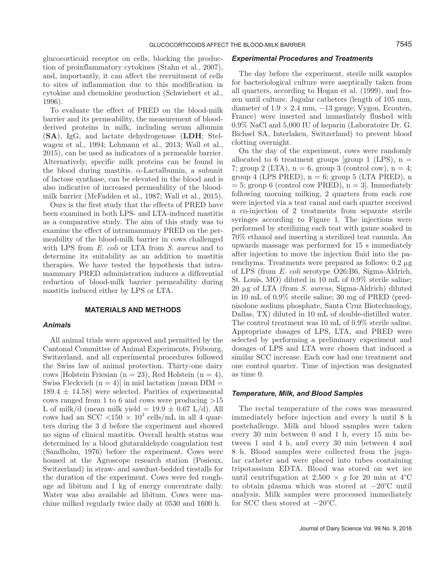glucocorticoid receptor on cells, blocking the production of proinflammatory cytokines (Stahn et al., 2007), and, importantly, it can affect the recruitment of cells to sites of inflammation due to this modification in cytokine and chemokine production (Schwiebert et al., 1996).

To evaluate the effect of PRED on the blood-milk barrier and its permeability, the measurement of bloodderived proteins in milk, including serum albumin (**SA**), IgG, and lactate dehydrogenase (**LDH**; Stelwagen et al., 1994; Lehmann et al., 2013; Wall et al., 2015), can be used as indicators of a permeable barrier. Alternatively, specific milk proteins can be found in the blood during mastitis.  $\alpha$ -Lactalbumin, a subunit of lactose synthase, can be elevated in the blood and is also indicative of increased permeability of the bloodmilk barrier (McFadden et al., 1987; Wall et al., 2015).

Ours is the first study that the effects of PRED have been examined in both LPS- and LTA-induced mastitis as a comparative study. The aim of this study was to examine the effect of intramammary PRED on the permeability of the blood-milk barrier in cows challenged with LPS from *E. coli* or LTA from *S. aureus* and to determine its suitability as an addition to mastitis therapies. We have tested the hypothesis that intramammary PRED administration induces a differential reduction of blood-milk barrier permeability during mastitis induced either by LPS or LTA.

#### **MATERIALS AND METHODS**

#### *Animals*

All animal trials were approved and permitted by the Cantonal Committee of Animal Experiments, Fribourg, Switzerland, and all experimental procedures followed the Swiss law of animal protection. Thirty-one dairy cows [Holstein Friesian ( $n = 23$ ), Red Holstein ( $n = 4$ ), Swiss Fleckvieh  $(n = 4)$  in mid lactation (mean DIM  $=$  $189.4 \pm 14.58$ ) were selected. Parities of experimental cows ranged from 1 to 6 and cows were producing  $>15$ L of milk/d (mean milk yield =  $19.9 \pm 0.67$  L/d). All cows had an SCC  $\langle 150 \times 10^3 \text{ cells/mL}$  in all 4 quarters during the 3 d before the experiment and showed no signs of clinical mastitis. Overall health status was determined by a blood glutaraldehyde coagulation test (Sandholm, 1976) before the experiment. Cows were housed at the Agroscope research station (Posieux, Switzerland) in straw- and sawdust-bedded tiestalls for the duration of the experiment. Cows were fed roughage ad libitum and 1 kg of energy concentrate daily. Water was also available ad libitum. Cows were machine milked regularly twice daily at 0530 and 1600 h.

## *Experimental Procedures and Treatments*

The day before the experiment, sterile milk samples for bacteriological culture were aseptically taken from all quarters, according to Hogan et al. (1999), and frozen until culture. Jugular catheters (length of 105 mm, diameter of  $1.9 \times 2.4$  mm,  $-13$  gauge; Vygon, Ecouten, France) were inserted and immediately flushed with 0.9% NaCl and 5,000 IU of heparin (Laboratoire Dr. G. Bichsel SA, Interlaken, Switzerland) to prevent blood clotting overnight.

On the day of the experiment, cows were randomly allocated to 6 treatment groups  $|$ group 1 (LPS), n = 7; group 2 (LTA),  $n = 6$ , group 3 (control cow),  $n = 4$ ; group 4 (LPS PRED),  $n = 6$ ; group 5 (LTA PRED), n  $= 5$ ; group 6 (control cow PRED),  $n = 3$ . Immediately following morning milking, 2 quarters from each cow were injected via a teat canal and each quarter received a co-injection of 2 treatments from separate sterile syringes according to Figure 1. The injections were performed by sterilizing each teat with gauze soaked in 70% ethanol and inserting a sterilized teat cannula. An upwards massage was performed for 15 s immediately after injection to move the injection fluid into the parenchyma. Treatments were prepared as follows: 0.2 μg of LPS (from *E. coli* serotype O26:B6, Sigma-Aldrich, St. Louis, MO) diluted in 10 mL of 0.9% sterile saline; 20 μg of LTA (from *S. aureus*, Sigma-Aldrich) diluted in 10 mL of 0.9% sterile saline; 30 mg of PRED (prednisolone sodium phosphate, Santa Cruz Biotechnology, Dallas, TX) diluted in 10 mL of double-distilled water. The control treatment was 10 mL of 0.9% sterile saline. Appropriate dosages of LPS, LTA, and PRED were selected by performing a preliminary experiment and dosages of LPS and LTA were chosen that induced a similar SCC increase. Each cow had one treatment and one control quarter. Time of injection was designated as time 0.

## *Temperature, Milk, and Blood Samples*

The rectal temperature of the cows was measured immediately before injection and every h until 8 h postchallenge. Milk and blood samples were taken every 30 min between 0 and 1 h, every 15 min between 1 and 4 h, and every 30 min between 4 and 8 h. Blood samples were collected from the jugular catheter and were placed into tubes containing tripotassium EDTA. Blood was stored on wet ice until centrifugation at  $2,500 \times g$  for 20 min at 4<sup>°</sup>C to obtain plasma which was stored at −20°C until analysis. Milk samples were processed immediately for SCC then stored at  $-20^{\circ}$ C.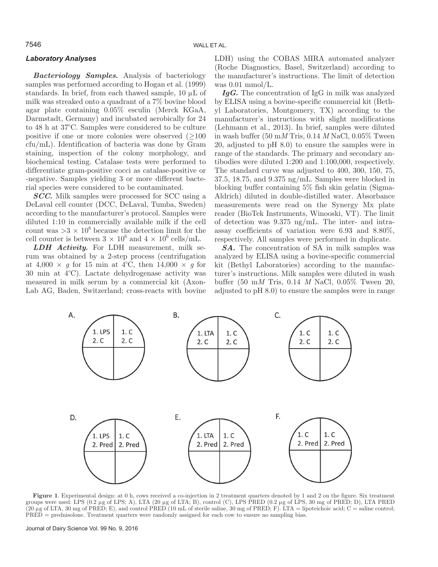## *Laboratory Analyses*

*Bacteriology Samples.* Analysis of bacteriology samples was performed according to Hogan et al. (1999) standards. In brief, from each thawed sample,  $10 \mu L$  of milk was streaked onto a quadrant of a 7% bovine blood agar plate containing 0.05% esculin (Merck KGaA, Darmstadt, Germany) and incubated aerobically for 24 to 48 h at 37°C. Samples were considered to be culture positive if one or more colonies were observed  $(≥100$ cfu/mL). Identification of bacteria was done by Gram staining, inspection of the colony morphology, and biochemical testing. Catalase tests were performed to differentiate gram-positive cocci as catalase-positive or -negative. Samples yielding 3 or more different bacterial species were considered to be contaminated.

*SCC.* Milk samples were processed for SCC using a DeLaval cell counter (DCC, DeLaval, Tumba, Sweden) according to the manufacturer's protocol. Samples were diluted 1:10 in commercially available milk if the cell count was  $>3 \times 10^6$  because the detection limit for the cell counter is between  $3 \times 10^6$  and  $4 \times 10^6$  cells/mL.

*LDH Activity.* For LDH measurement, milk serum was obtained by a 2-step process (centrifugation at 4,000  $\times$  *g* for 15 min at 4°C, then 14,000  $\times$  *g* for 30 min at 4°C). Lactate dehydrogenase activity was measured in milk serum by a commercial kit (Axon-Lab AG, Baden, Switzerland; cross-reacts with bovine LDH) using the COBAS MIRA automated analyzer (Roche Diagnostics, Basel, Switzerland) according to the manufacturer's instructions. The limit of detection was 0.01 mmol/L.

*IgG.* The concentration of IgG in milk was analyzed by ELISA using a bovine-specific commercial kit (Bethyl Laboratories, Montgomery, TX) according to the manufacturer's instructions with slight modifications (Lehmann et al., 2013). In brief, samples were diluted in wash buffer (50 m*M* Tris, 0.14 *M* NaCl, 0.05% Tween 20, adjusted to pH 8.0) to ensure the samples were in range of the standards. The primary and secondary antibodies were diluted 1:200 and 1:100,000, respectively. The standard curve was adjusted to 400, 300, 150, 75, 37.5, 18.75, and 9.375 ng/mL. Samples were blocked in blocking buffer containing 5% fish skin gelatin (Sigma-Aldrich) diluted in double-distilled water. Absorbance measurements were read on the Synergy Mx plate reader (BioTek Instruments, Winooski, VT). The limit of detection was 9.375 ng/mL. The inter- and intraassay coefficients of variation were 6.93 and 8.80%, respectively. All samples were performed in duplicate.

SA. The concentration of SA in milk samples was analyzed by ELISA using a bovine-specific commercial kit (Bethyl Laboratories) according to the manufacturer's instructions. Milk samples were diluted in wash buffer (50 m*M* Tris, 0.14 *M* NaCl, 0.05% Tween 20, adjusted to pH 8.0) to ensure the samples were in range



**Figure 1**. Experimental design: at 0 h, cows received a co-injection in 2 treatment quarters denoted by 1 and 2 on the figure. Six treatment groups were used: LPS (0.2 μg of LPS; A), LTA (20 μg of LTA; B), control (C), LPS PRED (0.2 μg of LPS, 30 mg of PRED; D), LTA PRED  $(20 \,\mu$ g of LTA,  $30 \,\text{mg}$  of PRED; E), and control PRED  $(10 \,\text{mL})$  of sterile saline,  $30 \,\text{mg}$  of PRED; F). LTA = lipoteichoic acid; C = saline control; PRED = prednisolone. Treatment quarters were randomly assigned for each cow to ensure no sampling bias.

Journal of Dairy Science Vol. 99 No. 9, 2016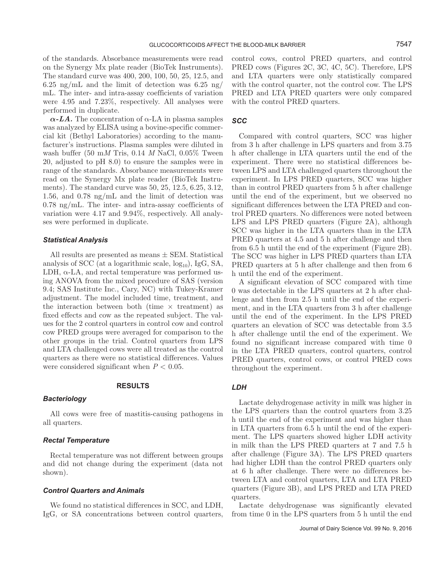of the standards. Absorbance measurements were read on the Synergy Mx plate reader (BioTek Instruments). The standard curve was 400, 200, 100, 50, 25, 12.5, and 6.25 ng/mL and the limit of detection was 6.25 ng/ mL. The inter- and intra-assay coefficients of variation were 4.95 and 7.23%, respectively. All analyses were performed in duplicate.

 $\alpha$ -LA. The concentration of  $\alpha$ -LA in plasma samples was analyzed by ELISA using a bovine-specific commercial kit (Bethyl Laboratories) according to the manufacturer's instructions. Plasma samples were diluted in wash buffer (50 m*M* Tris, 0.14 *M* NaCl, 0.05% Tween 20, adjusted to pH 8.0) to ensure the samples were in range of the standards. Absorbance measurements were read on the Synergy Mx plate reader (BioTek Instruments). The standard curve was 50, 25, 12.5, 6.25, 3.12, 1.56, and 0.78 ng/mL and the limit of detection was 0.78 ng/mL. The inter- and intra-assay coefficients of variation were 4.17 and 9.94%, respectively. All analyses were performed in duplicate.

## *Statistical Analysis*

All results are presented as means  $\pm$  SEM. Statistical analysis of SCC (at a logarithmic scale,  $log_{10}$ ), IgG, SA, LDH,  $\alpha$ -LA, and rectal temperature was performed using ANOVA from the mixed procedure of SAS (version 9.4; SAS Institute Inc., Cary, NC) with Tukey-Kramer adjustment. The model included time, treatment, and the interaction between both (time  $\times$  treatment) as fixed effects and cow as the repeated subject. The values for the 2 control quarters in control cow and control cow PRED groups were averaged for comparison to the other groups in the trial. Control quarters from LPS and LTA challenged cows were all treated as the control quarters as there were no statistical differences. Values were considered significant when  $P < 0.05$ .

# **RESULTS**

#### *Bacteriology*

All cows were free of mastitis-causing pathogens in all quarters.

# *Rectal Temperature*

Rectal temperature was not different between groups and did not change during the experiment (data not shown).

## *Control Quarters and Animals*

We found no statistical differences in SCC, and LDH, IgG, or SA concentrations between control quarters, control cows, control PRED quarters, and control PRED cows (Figures 2C, 3C, 4C, 5C). Therefore, LPS and LTA quarters were only statistically compared with the control quarter, not the control cow. The LPS PRED and LTA PRED quarters were only compared with the control PRED quarters.

## *SCC*

Compared with control quarters, SCC was higher from 3 h after challenge in LPS quarters and from 3.75 h after challenge in LTA quarters until the end of the experiment. There were no statistical differences between LPS and LTA challenged quarters throughout the experiment. In LPS PRED quarters, SCC was higher than in control PRED quarters from 5 h after challenge until the end of the experiment, but we observed no significant differences between the LTA PRED and control PRED quarters. No differences were noted between LPS and LPS PRED quarters (Figure 2A), although SCC was higher in the LTA quarters than in the LTA PRED quarters at 4.5 and 5 h after challenge and then from 6.5 h until the end of the experiment (Figure 2B). The SCC was higher in LPS PRED quarters than LTA PRED quarters at 5 h after challenge and then from 6 h until the end of the experiment.

A significant elevation of SCC compared with time 0 was detectable in the LPS quarters at 2 h after challenge and then from 2.5 h until the end of the experiment, and in the LTA quarters from 3 h after challenge until the end of the experiment. In the LPS PRED quarters an elevation of SCC was detectable from 3.5 h after challenge until the end of the experiment. We found no significant increase compared with time 0 in the LTA PRED quarters, control quarters, control PRED quarters, control cows, or control PRED cows throughout the experiment.

## *LDH*

Lactate dehydrogenase activity in milk was higher in the LPS quarters than the control quarters from 3.25 h until the end of the experiment and was higher than in LTA quarters from 6.5 h until the end of the experiment. The LPS quarters showed higher LDH activity in milk than the LPS PRED quarters at 7 and 7.5 h after challenge (Figure 3A). The LPS PRED quarters had higher LDH than the control PRED quarters only at 6 h after challenge. There were no differences between LTA and control quarters, LTA and LTA PRED quarters (Figure 3B), and LPS PRED and LTA PRED quarters.

Lactate dehydrogenase was significantly elevated from time 0 in the LPS quarters from 5 h until the end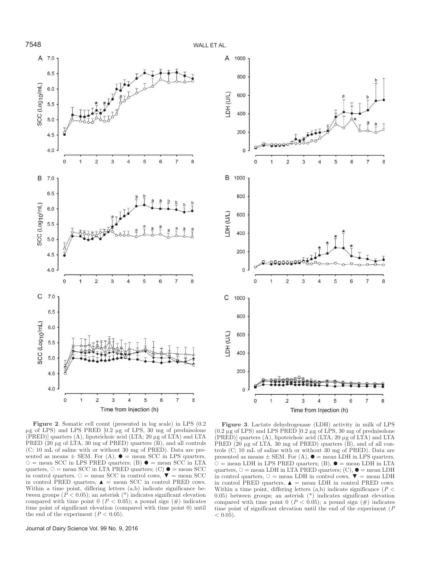



**Figure 2**. Somatic cell count (presented in log scale) in LPS (0.2 μg of LPS) and LPS PRED [0.2 μg of LPS, 30 mg of prednisolone (PRED)] quarters (A), lipoteichoic acid (LTA; 20 μg of LTA) and LTA PRED (20 μg of LTA, 30 mg of PRED) quarters (B), and all controls (C; 10 mL of saline with or without 30 mg of PRED). Data are presented as means  $\pm$  SEM. For (A),  $\bullet$  = mean SCC in LPS quarters,  $\circ$  = mean SCC in LPS PRED quarters; (B)  $\bullet$  = mean SCC in LTA quarters,  $\circ$  = mean SCC in LTA PRED quarters; (C)  $\bullet$  = mean SCC in control quarters,  $\circ$  = mean SCC in control cows,  $\blacktriangledown$  = mean SCC in control PRED quarters,  $\triangle$  = mean SCC in control PRED cows. Within a time point, differing letters (a,b) indicate significance between groups ( $\overline{P}$  < 0.05); an asterisk (\*) indicates significant elevation compared with time point  $0$  ( $P < 0.05$ ); a pound sign (#) indicates time point of significant elevation (compared with time point 0) until the end of the experiment  $(P < 0.05)$ .

**Figure 3**. Lactate dehydrogenase (LDH) activity in milk of LPS (0.2 μg of LPS) and LPS PRED [0.2 μg of LPS, 30 mg of prednisolone (PRED)] quarters (A), lipoteichoic acid (LTA; 20 μg of LTA) and LTA PRED  $(20 \mu g)$  of LTA,  $30 \mu g$  of PRED) quarters  $(B)$ , and of all controls (C; 10 mL of saline with or without 30 mg of PRED). Data are presented as means  $\pm$  SEM. For (A),  $\bullet$  = mean LDH in LPS quarters,  $\circ$  = mean LDH in LPS PRED quarters; (B),  $\bullet$  = mean LDH in LTA quarters,  $\circ$  = mean LDH in LTA PRED quarters; (C),  $\bullet$  = mean LDH in control quarters,  $\circ$  = mean LDH in control cows,  $\blacktriangledown$  = mean LDH in control PRED quarters,  $\blacktriangle$  = mean LDH in control PRED cows. Within a time point, differing letters  $(a,b)$  indicate significance  $(P <$ 0.05) between groups; an asterisk (\*) indicates significant elevation compared with time point  $0$  ( $P < 0.05$ ); a pound sign ( $#$ ) indicates time point of significant elevation until the end of the experiment (*P*   $< 0.05$ ).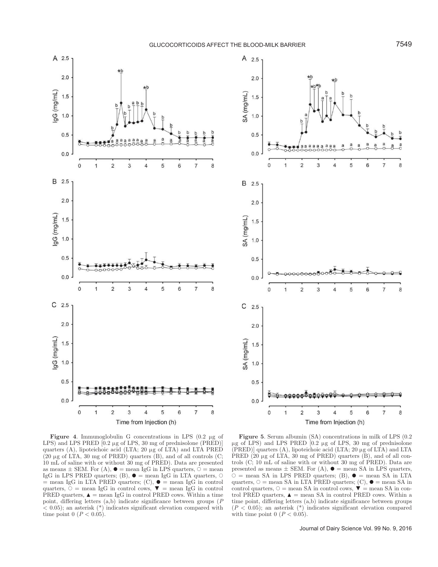GLUCOCORTICOIDS AFFECT THE BLOOD-MILK BARRIER THE STORE TO A 2549





**Figure 4**. Immunoglobulin G concentrations in LPS (0.2 μg of LPS) and LPS PRED [0.2 μg of LPS, 30 mg of prednisolone (PRED)] quarters (A), lipoteichoic acid (LTA; 20 μg of LTA) and LTA PRED  $(20 \mu g)$  of LTA, 30 mg of PRED) quarters (B), and of all controls (C; 10 mL of saline with or without 30 mg of PRED). Data are presented as means  $\pm$  SEM. For (A),  $\bullet$  = mean IgG in LPS quarters,  $\overline{O}$  = mean IgG in LPS PRED quarters; (B),  $\bullet$  = mean IgG in LTA quarters,  $\circ$  $=$  mean IgG in LTA PRED quarters; (C),  $\bullet$   $=$  mean IgG in control quarters,  $\check{\circ}$  = mean IgG in control cows,  $\check{\blacktriangledown}$  = mean IgG in control PRED quarters,  $\triangle$  = mean IgG in control PRED cows. Within a time point, differing letters (a,b) indicate significance between groups (*P*   $< 0.05$ ); an asterisk  $(*)$  indicates significant elevation compared with time point  $0 \ (P < 0.05)$ .

**Figure 5**. Serum albumin (SA) concentrations in milk of LPS (0.2 μg of LPS) and LPS PRED [0.2 μg of LPS, 30 mg of prednisolone (PRED)] quarters (A), lipoteichoic acid (LTA; 20 μg of LTA) and LTA PRED  $(20 \mu g)$  of LTA,  $30 \mu g$  of PRED) quarters  $(B)$ , and of all controls (C; 10 mL of saline with or without 30 mg of PRED). Data are presented as means  $\pm$  SEM. For (A),  $\bullet$  = mean SA in LPS quarters,  $\hat{O}$  = mean SA in LPS PRED quarters; (B),  $\bullet$  = mean SA in LTA quarters,  $\circ$  = mean SA in LTA PRED quarters; (C),  $\bullet$  = mean SA in control quarters,  $\circ$  = mean SA in control cows,  $\vec{\mathbf{v}}$  = mean SA in control PRED quarters,  $\triangle$  = mean SA in control PRED cows. Within a time point, differing letters (a,b) indicate significance between groups  $(P < 0.05)$ ; an asterisk  $(*)$  indicates significant elevation compared with time point  $0 (P < 0.05)$ .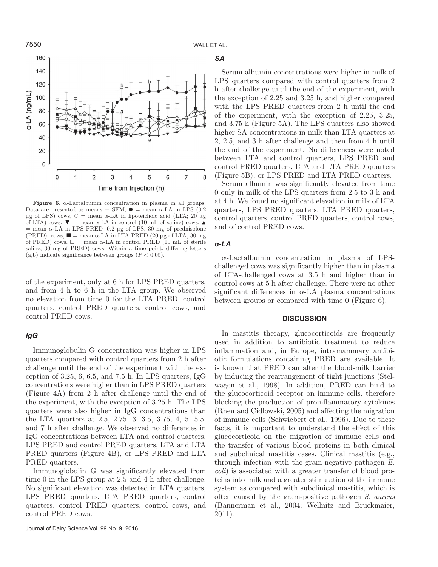

**Figure 6**. α-Lactalbumin concentration in plasma in all groups. Data are presented as means  $\pm$  SEM;  $\bullet$  = mean  $\alpha$ -LA in LPS (0.2) μg of LPS) cows,  $\varphi$  = mean α-LA in lipoteichoic acid (LTA; 20 μg of LTA) cows,  $\nabla$  = mean  $\alpha$ -LA in control (10 mL of saline) cows,  $\blacktriangle$  $=$  mean  $\alpha$ -LA in LPS PRED [0.2  $\mu$ g of LPS, 30 mg of prednisolone (PRED)] cows,  $\blacksquare =$  mean  $\alpha$ -LA in LTA PRED (20 μg of LTA, 30 mg) of PRED) cows,  $\square$  = mean  $\alpha$ -LA in control PRED (10 mL of sterile saline, 30 mg of PRED) cows. Within a time point, differing letters (a,b) indicate significance between groups  $(P < 0.05)$ .

of the experiment, only at 6 h for LPS PRED quarters, and from 4 h to 6 h in the LTA group. We observed no elevation from time 0 for the LTA PRED, control quarters, control PRED quarters, control cows, and control PRED cows.

# *IgG*

Immunoglobulin G concentration was higher in LPS quarters compared with control quarters from 2 h after challenge until the end of the experiment with the exception of 3.25, 6, 6.5, and 7.5 h. In LPS quarters,  $I_gG$ concentrations were higher than in LPS PRED quarters (Figure 4A) from 2 h after challenge until the end of the experiment, with the exception of 3.25 h. The LPS quarters were also higher in IgG concentrations than the LTA quarters at 2.5, 2.75, 3, 3.5, 3.75, 4, 5, 5.5, and 7 h after challenge. We observed no differences in IgG concentrations between LTA and control quarters, LPS PRED and control PRED quarters, LTA and LTA PRED quarters (Figure 4B), or LPS PRED and LTA PRED quarters.

Immunoglobulin G was significantly elevated from time 0 in the LPS group at 2.5 and 4 h after challenge. No significant elevation was detected in LTA quarters, LPS PRED quarters, LTA PRED quarters, control quarters, control PRED quarters, control cows, and control PRED cows.

*SA*

Serum albumin concentrations were higher in milk of LPS quarters compared with control quarters from 2 h after challenge until the end of the experiment, with the exception of 2.25 and 3.25 h, and higher compared with the LPS PRED quarters from 2 h until the end of the experiment, with the exception of 2.25, 3.25, and 3.75 h (Figure 5A). The LPS quarters also showed higher SA concentrations in milk than LTA quarters at 2, 2.5, and 3 h after challenge and then from 4 h until the end of the experiment. No differences were noted between LTA and control quarters, LPS PRED and control PRED quarters, LTA and LTA PRED quarters (Figure 5B), or LPS PRED and LTA PRED quarters.

Serum albumin was significantly elevated from time 0 only in milk of the LPS quarters from 2.5 to 3 h and at 4 h. We found no significant elevation in milk of LTA quarters, LPS PRED quarters, LTA PRED quarters, control quarters, control PRED quarters, control cows, and of control PRED cows.

# $α$ -*LA*

α-Lactalbumin concentration in plasma of LPSchallenged cows was significantly higher than in plasma of LTA-challenged cows at 3.5 h and higher than in control cows at 5 h after challenge. There were no other significant differences in  $\alpha$ -LA plasma concentrations between groups or compared with time 0 (Figure 6).

# **DISCUSSION**

In mastitis therapy, glucocorticoids are frequently used in addition to antibiotic treatment to reduce inflammation and, in Europe, intramammary antibiotic formulations containing PRED are available. It is known that PRED can alter the blood-milk barrier by inducing the rearrangement of tight junctions (Stelwagen et al., 1998). In addition, PRED can bind to the glucocorticoid receptor on immune cells, therefore blocking the production of proinflammatory cytokines (Rhen and Cidlowski, 2005) and affecting the migration of immune cells (Schwiebert et al., 1996). Due to these facts, it is important to understand the effect of this glucocorticoid on the migration of immune cells and the transfer of various blood proteins in both clinical and subclinical mastitis cases. Clinical mastitis (e.g., through infection with the gram-negative pathogen *E. coli*) is associated with a greater transfer of blood proteins into milk and a greater stimulation of the immune system as compared with subclinical mastitis, which is often caused by the gram-positive pathogen *S. aureus* (Bannerman et al., 2004; Wellnitz and Bruckmaier, 2011).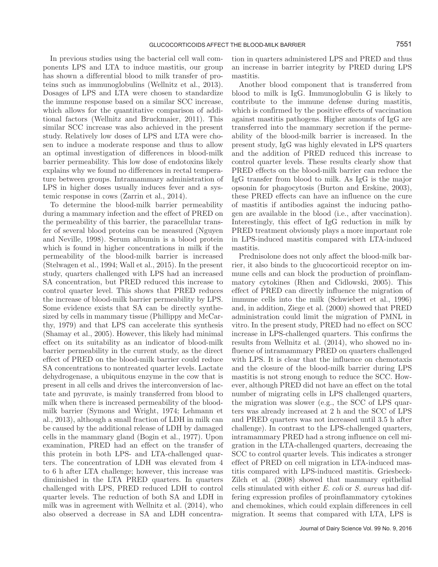In previous studies using the bacterial cell wall components LPS and LTA to induce mastitis, our group has shown a differential blood to milk transfer of proteins such as immunoglobulins (Wellnitz et al., 2013). Dosages of LPS and LTA were chosen to standardize the immune response based on a similar SCC increase, which allows for the quantitative comparison of additional factors (Wellnitz and Bruckmaier, 2011). This similar SCC increase was also achieved in the present study. Relatively low doses of LPS and LTA were chosen to induce a moderate response and thus to allow an optimal investigation of differences in blood-milk barrier permeability. This low dose of endotoxins likely explains why we found no differences in rectal temperature between groups. Intramammary administration of LPS in higher doses usually induces fever and a systemic response in cows (Zarrin et al., 2014).

To determine the blood-milk barrier permeability during a mammary infection and the effect of PRED on the permeability of this barrier, the paracellular transfer of several blood proteins can be measured (Nguyen and Neville, 1998). Serum albumin is a blood protein which is found in higher concentrations in milk if the permeability of the blood-milk barrier is increased (Stelwagen et al., 1994; Wall et al., 2015). In the present study, quarters challenged with LPS had an increased SA concentration, but PRED reduced this increase to control quarter level. This shows that PRED reduces the increase of blood-milk barrier permeability by LPS. Some evidence exists that SA can be directly synthesized by cells in mammary tissue (Phillippy and McCarthy, 1979) and that LPS can accelerate this synthesis (Shamay et al., 2005). However, this likely had minimal effect on its suitability as an indicator of blood-milk barrier permeability in the current study, as the direct effect of PRED on the blood-milk barrier could reduce SA concentrations to nontreated quarter levels. Lactate dehydrogenase, a ubiquitous enzyme in the cow that is present in all cells and drives the interconversion of lactate and pyruvate, is mainly transferred from blood to milk when there is increased permeability of the bloodmilk barrier (Symons and Wright, 1974; Lehmann et al., 2013), although a small fraction of LDH in milk can be caused by the additional release of LDH by damaged cells in the mammary gland (Bogin et al., 1977). Upon examination, PRED had an effect on the transfer of this protein in both LPS- and LTA-challenged quarters. The concentration of LDH was elevated from 4 to 6 h after LTA challenge; however, this increase was diminished in the LTA PRED quarters. In quarters challenged with LPS, PRED reduced LDH to control quarter levels. The reduction of both SA and LDH in milk was in agreement with Wellnitz et al. (2014), who also observed a decrease in SA and LDH concentration in quarters administered LPS and PRED and thus an increase in barrier integrity by PRED during LPS mastitis.

Another blood component that is transferred from blood to milk is IgG. Immunoglobulin G is likely to contribute to the immune defense during mastitis, which is confirmed by the positive effects of vaccination against mastitis pathogens. Higher amounts of IgG are transferred into the mammary secretion if the permeability of the blood-milk barrier is increased. In the present study, IgG was highly elevated in LPS quarters and the addition of PRED reduced this increase to control quarter levels. These results clearly show that PRED effects on the blood-milk barrier can reduce the IgG transfer from blood to milk. As IgG is the major opsonin for phagocytosis (Burton and Erskine, 2003), these PRED effects can have an influence on the cure of mastitis if antibodies against the inducing pathogen are available in the blood (i.e., after vaccination). Interestingly, this effect of IgG reduction in milk by PRED treatment obviously plays a more important role in LPS-induced mastitis compared with LTA-induced mastitis.

Prednisolone does not only affect the blood-milk barrier, it also binds to the glucocorticoid receptor on immune cells and can block the production of proinflammatory cytokines (Rhen and Cidlowski, 2005). This effect of PRED can directly influence the migration of immune cells into the milk (Schwiebert et al., 1996) and, in addition, Ziege et al. (2000) showed that PRED administration could limit the migration of PMNL in vitro. In the present study, PRED had no effect on SCC increase in LPS-challenged quarters. This confirms the results from Wellnitz et al. (2014), who showed no influence of intramammary PRED on quarters challenged with LPS. It is clear that the influence on chemotaxis and the closure of the blood-milk barrier during LPS mastitis is not strong enough to reduce the SCC. However, although PRED did not have an effect on the total number of migrating cells in LPS challenged quarters, the migration was slower (e.g., the SCC of LPS quarters was already increased at 2 h and the SCC of LPS and PRED quarters was not increased until 3.5 h after challenge). In contrast to the LPS-challenged quarters, intramammary PRED had a strong influence on cell migration in the LTA-challenged quarters, decreasing the SCC to control quarter levels. This indicates a stronger effect of PRED on cell migration in LTA-induced mastitis compared with LPS-induced mastitis. Griesbeck-Zilch et al. (2008) showed that mammary epithelial cells stimulated with either *E. coli* or *S. aureus* had differing expression profiles of proinflammatory cytokines and chemokines, which could explain differences in cell migration. It seems that compared with LTA, LPS is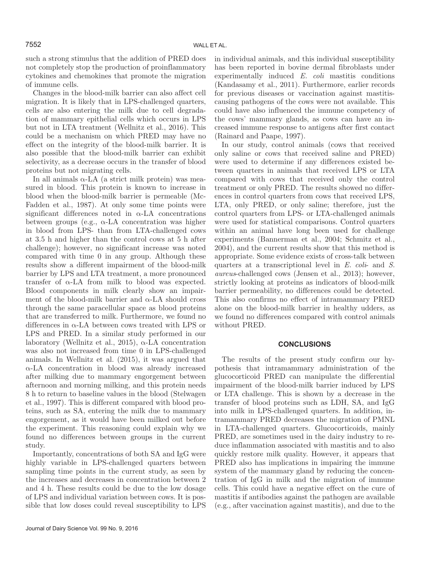such a strong stimulus that the addition of PRED does not completely stop the production of proinflammatory cytokines and chemokines that promote the migration of immune cells.

Changes in the blood-milk barrier can also affect cell migration. It is likely that in LPS-challenged quarters, cells are also entering the milk due to cell degradation of mammary epithelial cells which occurs in LPS but not in LTA treatment (Wellnitz et al., 2016). This could be a mechanism on which PRED may have no effect on the integrity of the blood-milk barrier. It is also possible that the blood-milk barrier can exhibit selectivity, as a decrease occurs in the transfer of blood proteins but not migrating cells.

In all animals  $\alpha$ -LA (a strict milk protein) was measured in blood. This protein is known to increase in blood when the blood-milk barrier is permeable (Mc-Fadden et al., 1987). At only some time points were significant differences noted in  $\alpha$ -LA concentrations between groups (e.g.,  $\alpha$ -LA concentration was higher in blood from LPS- than from LTA-challenged cows at 3.5 h and higher than the control cows at 5 h after challenge); however, no significant increase was noted compared with time 0 in any group. Although these results show a different impairment of the blood-milk barrier by LPS and LTA treatment, a more pronounced transfer of  $\alpha$ -LA from milk to blood was expected. Blood components in milk clearly show an impairment of the blood-milk barrier and  $\alpha$ -LA should cross through the same paracellular space as blood proteins that are transferred to milk. Furthermore, we found no differences in  $\alpha$ -LA between cows treated with LPS or LPS and PRED. In a similar study performed in our laboratory (Wellnitz et al., 2015),  $\alpha$ -LA concentration was also not increased from time 0 in LPS-challenged animals. In Wellnitz et al. (2015), it was argued that α-LA concentration in blood was already increased after milking due to mammary engorgement between afternoon and morning milking, and this protein needs 8 h to return to baseline values in the blood (Stelwagen et al., 1997). This is different compared with blood proteins, such as SA, entering the milk due to mammary engorgement, as it would have been milked out before the experiment. This reasoning could explain why we found no differences between groups in the current study.

Importantly, concentrations of both SA and IgG were highly variable in LPS-challenged quarters between sampling time points in the current study, as seen by the increases and decreases in concentration between 2 and 4 h. These results could be due to the low dosage of LPS and individual variation between cows. It is possible that low doses could reveal susceptibility to LPS in individual animals, and this individual susceptibility has been reported in bovine dermal fibroblasts under experimentally induced *E. coli* mastitis conditions (Kandasamy et al., 2011). Furthermore, earlier records for previous diseases or vaccination against mastitiscausing pathogens of the cows were not available. This could have also influenced the immune competency of the cows' mammary glands, as cows can have an increased immune response to antigens after first contact (Rainard and Paape, 1997).

In our study, control animals (cows that received only saline or cows that received saline and PRED) were used to determine if any differences existed between quarters in animals that received LPS or LTA compared with cows that received only the control treatment or only PRED. The results showed no differences in control quarters from cows that received LPS, LTA, only PRED, or only saline; therefore, just the control quarters from LPS- or LTA-challenged animals were used for statistical comparisons. Control quarters within an animal have long been used for challenge experiments (Bannerman et al., 2004; Schmitz et al., 2004), and the current results show that this method is appropriate. Some evidence exists of cross-talk between quarters at a transcriptional level in *E. coli*- and *S. aureus*-challenged cows (Jensen et al., 2013); however, strictly looking at proteins as indicators of blood-milk barrier permeability, no differences could be detected. This also confirms no effect of intramammary PRED alone on the blood-milk barrier in healthy udders, as we found no differences compared with control animals without PRED.

# **CONCLUSIONS**

The results of the present study confirm our hypothesis that intramammary administration of the glucocorticoid PRED can manipulate the differential impairment of the blood-milk barrier induced by LPS or LTA challenge. This is shown by a decrease in the transfer of blood proteins such as LDH, SA, and IgG into milk in LPS-challenged quarters. In addition, intramammary PRED decreases the migration of PMNL in LTA-challenged quarters. Glucocorticoids, mainly PRED, are sometimes used in the dairy industry to reduce inflammation associated with mastitis and to also quickly restore milk quality. However, it appears that PRED also has implications in impairing the immune system of the mammary gland by reducing the concentration of IgG in milk and the migration of immune cells. This could have a negative effect on the cure of mastitis if antibodies against the pathogen are available (e.g., after vaccination against mastitis), and due to the